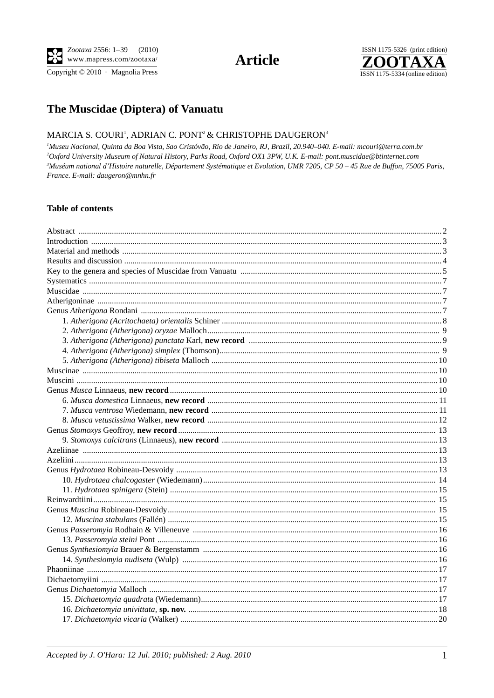Copyright © 2010 · Magnolia Press

# **Article**



## The Muscidae (Diptera) of Vanuatu

#### MARCIA S. COURI<sup>1</sup>, ADRIAN C. PONT<sup>2</sup> & CHRISTOPHE DAUGERON<sup>3</sup>

<sup>1</sup>Museu Nacional, Quinta da Boa Vista, Sao Cristóvão, Rio de Janeiro, RJ, Brazil, 20.940-040. E-mail: mcouri@terra.com.br <sup>2</sup>Oxford University Museum of Natural History, Parks Road, Oxford OX1 3PW, U.K. E-mail: pont.muscidae@btinternet.com <sup>3</sup>Muséum national d'Histoire naturelle, Département Systématique et Evolution, UMR 7205, CP 50 - 45 Rue de Buffon, 75005 Paris, France. E-mail: daugeron@mnhn.fr

#### **Table of contents**